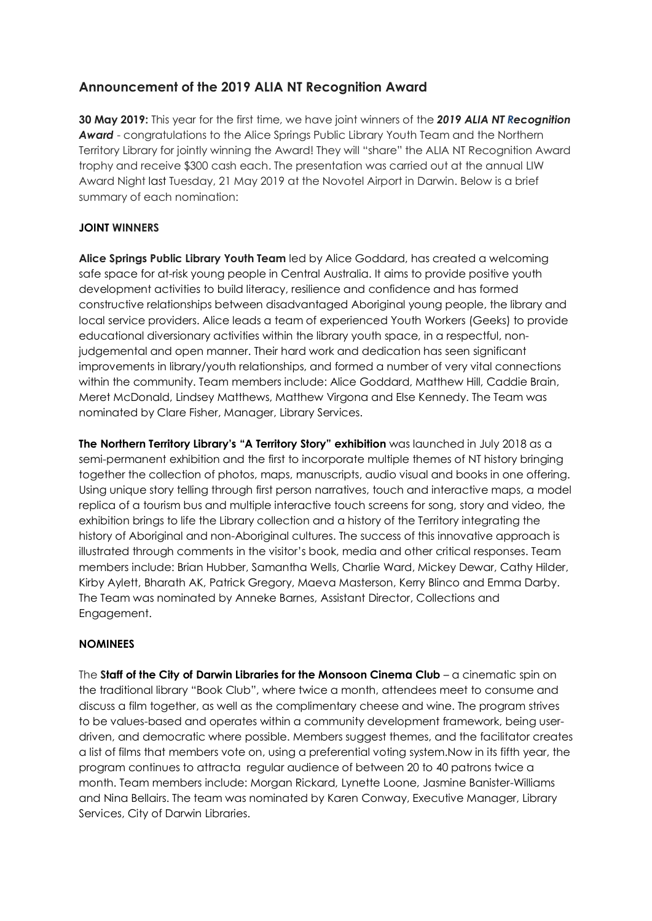## **Announcement of the 2019 ALIA NT Recognition Award**

**30 May 2019:** This year for the first time, we have joint winners of the *2019 ALIA NT Recognition Award* - congratulations to the Alice Springs Public Library Youth Team and the Northern Territory Library for jointly winning the Award! They will "share" the ALIA NT Recognition Award trophy and receive \$300 cash each. The presentation was carried out at the annual LIW Award Night last Tuesday, 21 May 2019 at the Novotel Airport in Darwin. Below is a brief summary of each nomination:

## **JOINT WINNERS**

**Alice Springs Public Library Youth Team** led by Alice Goddard, has created a welcoming safe space for at-risk young people in Central Australia. It aims to provide positive youth development activities to build literacy, resilience and confidence and has formed constructive relationships between disadvantaged Aboriginal young people, the library and local service providers. Alice leads a team of experienced Youth Workers (Geeks) to provide educational diversionary activities within the library youth space, in a respectful, nonjudgemental and open manner. Their hard work and dedication has seen significant improvements in library/youth relationships, and formed a number of very vital connections within the community. Team members include: Alice Goddard, Matthew Hill, Caddie Brain, Meret McDonald, Lindsey Matthews, Matthew Virgona and Else Kennedy. The Team was nominated by Clare Fisher, Manager, Library Services.

**The Northern Territory Library's "A Territory Story" exhibition** was launched in July 2018 as a semi-permanent exhibition and the first to incorporate multiple themes of NT history bringing together the collection of photos, maps, manuscripts, audio visual and books in one offering. Using unique story telling through first person narratives, touch and interactive maps, a model replica of a tourism bus and multiple interactive touch screens for song, story and video, the exhibition brings to life the Library collection and a history of the Territory integrating the history of Aboriginal and non-Aboriginal cultures. The success of this innovative approach is illustrated through comments in the visitor's book, media and other critical responses. Team members include: Brian Hubber, Samantha Wells, Charlie Ward, Mickey Dewar, Cathy Hilder, Kirby Aylett, Bharath AK, Patrick Gregory, Maeva Masterson, Kerry Blinco and Emma Darby. The Team was nominated by Anneke Barnes, Assistant Director, Collections and Engagement.

## **NOMINEES**

The **Staff of the City of Darwin Libraries for the Monsoon Cinema Club** – a cinematic spin on the traditional library "Book Club", where twice a month, attendees meet to consume and discuss a film together, as well as the complimentary cheese and wine. The program strives to be values-based and operates within a community development framework, being userdriven, and democratic where possible. Members suggest themes, and the facilitator creates a list of films that members vote on, using a preferential voting system.Now in its fifth year, the program continues to attracta regular audience of between 20 to 40 patrons twice a month. Team members include: Morgan Rickard, Lynette Loone, Jasmine Banister-Williams and Nina Bellairs. The team was nominated by Karen Conway, Executive Manager, Library Services, City of Darwin Libraries.